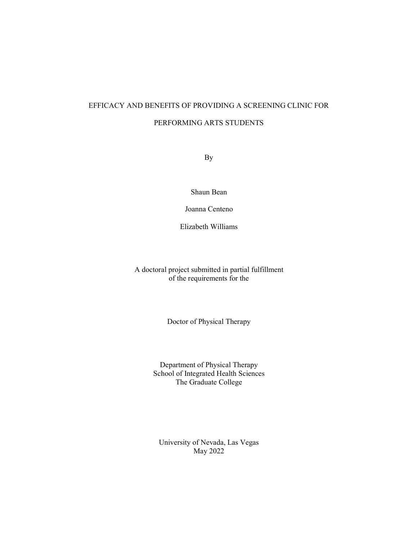# EFFICACY AND BENEFITS OF PROVIDING A SCREENING CLINIC FOR PERFORMING ARTS STUDENTS

By

Shaun Bean

Joanna Centeno

Elizabeth Williams

A doctoral project submitted in partial fulfillment of the requirements for the

Doctor of Physical Therapy

Department of Physical Therapy School of Integrated Health Sciences The Graduate College

University of Nevada, Las Vegas May 2022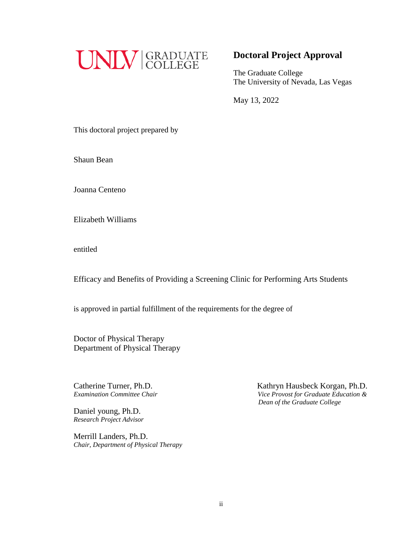

# **Doctoral Project Approval**

The Graduate College The University of Nevada, Las Vegas

May 13, 2022

This doctoral project prepared by

Shaun Bean

Joanna Centeno

Elizabeth Williams

entitled

Efficacy and Benefits of Providing a Screening Clinic for Performing Arts Students

is approved in partial fulfillment of the requirements for the degree of

Doctor of Physical Therapy Department of Physical Therapy

Catherine Turner, Ph.D.

Daniel young, Ph.D. *Research Project Advisor*

Merrill Landers, Ph.D. *Chair, Department of Physical Therapy*

Catherine Turner, Ph.D.<br> *Examination Committee Chair*<br> *Kathryn Hausbeck Korgan, Ph.D.*<br> *Vice Provost for Graduate Education & Examination Committee Chair Vice Provost for Graduate Education & Dean of the Graduate College*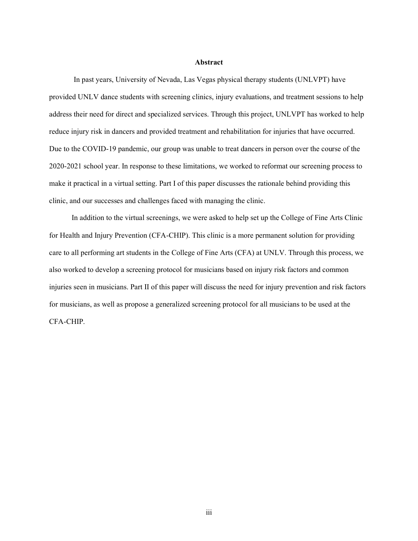### **Abstract**

In past years, University of Nevada, Las Vegas physical therapy students (UNLVPT) have provided UNLV dance students with screening clinics, injury evaluations, and treatment sessions to help address their need for direct and specialized services. Through this project, UNLVPT has worked to help reduce injury risk in dancers and provided treatment and rehabilitation for injuries that have occurred. Due to the COVID-19 pandemic, our group was unable to treat dancers in person over the course of the 2020-2021 school year. In response to these limitations, we worked to reformat our screening process to make it practical in a virtual setting. Part I of this paper discusses the rationale behind providing this clinic, and our successes and challenges faced with managing the clinic.

 In addition to the virtual screenings, we were asked to help set up the College of Fine Arts Clinic for Health and Injury Prevention (CFA-CHIP). This clinic is a more permanent solution for providing care to all performing art students in the College of Fine Arts (CFA) at UNLV. Through this process, we also worked to develop a screening protocol for musicians based on injury risk factors and common injuries seen in musicians. Part II of this paper will discuss the need for injury prevention and risk factors for musicians, as well as propose a generalized screening protocol for all musicians to be used at the CFA-CHIP.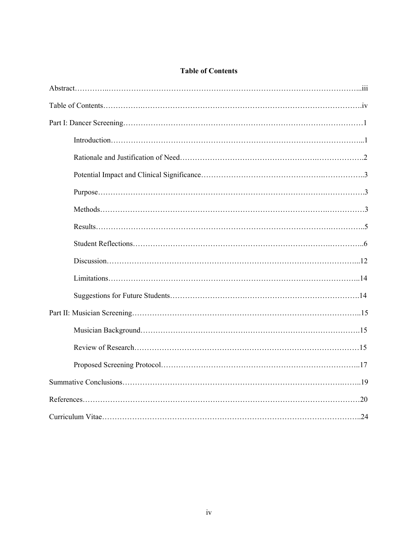# **Table of Contents**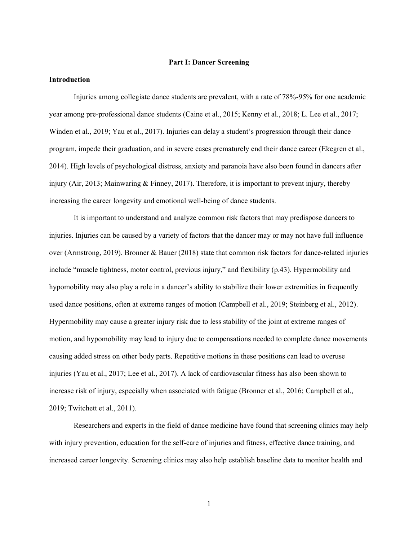### **Part I: Dancer Screening**

### **Introduction**

Injuries among collegiate dance students are prevalent, with a rate of 78%-95% for one academic year among pre-professional dance students [\(Caine et al., 2015; Kenny et al., 2018; L. Lee et al., 2017;](https://www.zotero.org/google-docs/?d9we0b)  [Winden et al., 2019; Yau et al., 2017\)](https://www.zotero.org/google-docs/?d9we0b). Injuries can delay a student's progression through their dance program, impede their graduation, and in severe cases prematurely end their dance career (Ekegren et al., 2014). High levels of psychological distress, anxiety and paranoia have also been found in dancers after injury (Air, 2013; Mainwaring & Finney, 2017). Therefore, it is important to prevent injury, thereby increasing the career longevity and emotional well-being of dance students.

It is important to understand and analyze common risk factors that may predispose dancers to injuries. Injuries can be caused by a variety of factors that the dancer may or may not have full influence over (Armstrong, 2019). Bronner & Bauer (2018) state that common risk factors for dance-related injuries include "muscle tightness, motor control, previous injury," and flexibility (p.43). Hypermobility and hypomobility may also play a role in a dancer's ability to stabilize their lower extremities in frequently used dance positions, often at extreme ranges of motion [\(Campbell et al., 2019; Steinberg et al., 2012\).](https://www.zotero.org/google-docs/?broken=mRIKKL) Hypermobility may cause a greater injury risk due to less stability of the joint at extreme ranges of motion, and hypomobility may lead to injury due to compensations needed to complete dance movements causing added stress on other body parts. Repetitive motions in these positions can lead to overuse injuries (Yau et al., 2017; Lee et al., 2017). A lack of cardiovascular fitness has also been shown to increase risk of injury, especially when associated with fatigue (Bronner et al., 2016; [Campbell et al.,](https://www.zotero.org/google-docs/?broken=XwJ0pT)  [2019;](https://www.zotero.org/google-docs/?broken=XwJ0pT) Twitchett et al., 2011).

Researchers and experts in the field of dance medicine have found that screening clinics may help with injury prevention, education for the self-care of injuries and fitness, effective dance training, and increased career longevity. Screening clinics may also help establish baseline data to monitor health and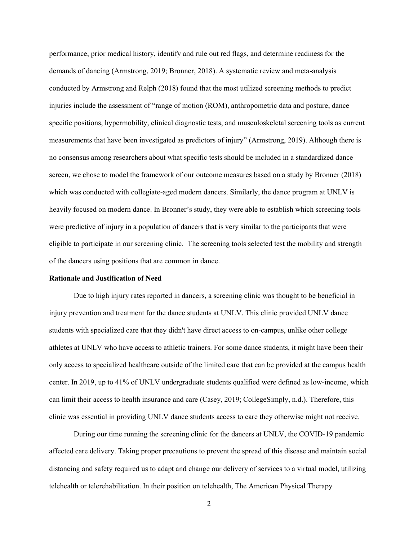performance, prior medical history, identify and rule out red flags, and determine readiness for the demands of dancing (Armstrong, 2019; Bronner, 2018). A systematic review and meta-analysis conducted by Armstrong and Relph (2018) found that the most utilized screening methods to predict injuries include the assessment of "range of motion (ROM), anthropometric data and posture, dance specific positions, hypermobility, clinical diagnostic tests, and musculoskeletal screening tools as current measurements that have been investigated as predictors of injury" (Armstrong, 2019). Although there is no consensus among researchers about what specific tests should be included in a standardized dance screen, we chose to model the framework of our outcome measures based on a study by Bronner (2018) which was conducted with collegiate-aged modern dancers. Similarly, the dance program at UNLV is heavily focused on modern dance. In Bronner's study, they were able to establish which screening tools were predictive of injury in a population of dancers that is very similar to the participants that were eligible to participate in our screening clinic. The screening tools selected test the mobility and strength of the dancers using positions that are common in dance.

# **Rationale and Justification of Need**

Due to high injury rates reported in dancers, a screening clinic was thought to be beneficial in injury prevention and treatment for the dance students at UNLV. This clinic provided UNLV dance students with specialized care that they didn't have direct access to on-campus, unlike other college athletes at UNLV who have access to athletic trainers. For some dance students, it might have been their only access to specialized healthcare outside of the limited care that can be provided at the campus health center. In 2019, up to 41% of UNLV undergraduate students qualified were defined as low-income, which can limit their access to health insurance and care (Casey, 2019; CollegeSimply, n.d.). Therefore, this clinic was essential in providing UNLV dance students access to care they otherwise might not receive.

During our time running the screening clinic for the dancers at UNLV, the COVID-19 pandemic affected care delivery. Taking proper precautions to prevent the spread of this disease and maintain social distancing and safety required us to adapt and change our delivery of services to a virtual model, utilizing telehealth or telerehabilitation. In their position on telehealth, The American Physical Therapy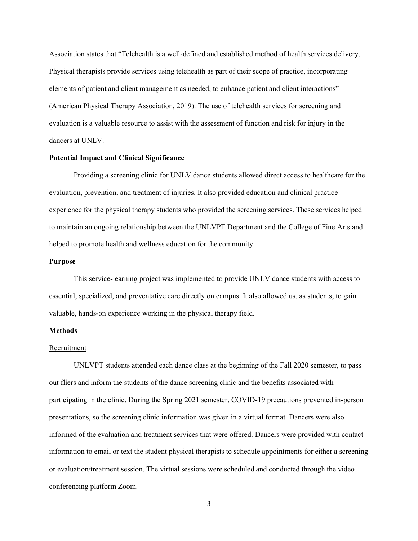Association states that "Telehealth is a well‐defined and established method of health services delivery. Physical therapists provide services using telehealth as part of their scope of practice, incorporating elements of patient and client management as needed, to enhance patient and client interactions" (American Physical Therapy Association, 2019). The use of telehealth services for screening and evaluation is a valuable resource to assist with the assessment of function and risk for injury in the dancers at UNLV.

### **Potential Impact and Clinical Significance**

Providing a screening clinic for UNLV dance students allowed direct access to healthcare for the evaluation, prevention, and treatment of injuries. It also provided education and clinical practice experience for the physical therapy students who provided the screening services. These services helped to maintain an ongoing relationship between the UNLVPT Department and the College of Fine Arts and helped to promote health and wellness education for the community.

### **Purpose**

This service-learning project was implemented to provide UNLV dance students with access to essential, specialized, and preventative care directly on campus. It also allowed us, as students, to gain valuable, hands-on experience working in the physical therapy field.

# **Methods**

### Recruitment

UNLVPT students attended each dance class at the beginning of the Fall 2020 semester, to pass out fliers and inform the students of the dance screening clinic and the benefits associated with participating in the clinic. During the Spring 2021 semester, COVID-19 precautions prevented in-person presentations, so the screening clinic information was given in a virtual format. Dancers were also informed of the evaluation and treatment services that were offered. Dancers were provided with contact information to email or text the student physical therapists to schedule appointments for either a screening or evaluation/treatment session. The virtual sessions were scheduled and conducted through the video conferencing platform Zoom.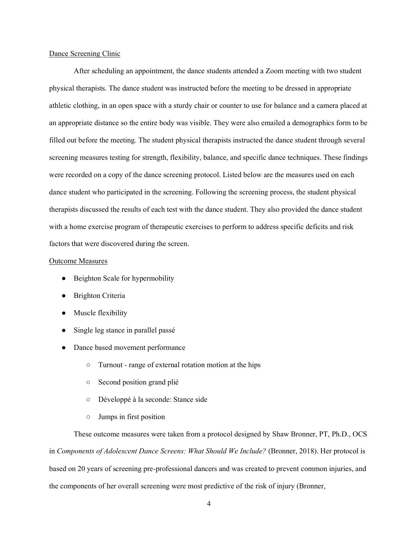### Dance Screening Clinic

After scheduling an appointment, the dance students attended a Zoom meeting with two student physical therapists. The dance student was instructed before the meeting to be dressed in appropriate athletic clothing, in an open space with a sturdy chair or counter to use for balance and a camera placed at an appropriate distance so the entire body was visible. They were also emailed a demographics form to be filled out before the meeting. The student physical therapists instructed the dance student through several screening measures testing for strength, flexibility, balance, and specific dance techniques. These findings were recorded on a copy of the dance screening protocol. Listed below are the measures used on each dance student who participated in the screening. Following the screening process, the student physical therapists discussed the results of each test with the dance student. They also provided the dance student with a home exercise program of therapeutic exercises to perform to address specific deficits and risk factors that were discovered during the screen.

### Outcome Measures

- Beighton Scale for hypermobility
- Brighton Criteria
- Muscle flexibility
- Single leg stance in parallel passé
- Dance based movement performance
	- Turnout range of external rotation motion at the hips
	- Second position grand plié
	- Développé à la seconde: Stance side
	- Jumps in first position

These outcome measures were taken from a protocol designed by Shaw Bronner, PT, Ph.D., OCS in *Components of Adolescent Dance Screens: What Should We Include?* (Bronner, 2018). Her protocol is based on 20 years of screening pre-professional dancers and was created to prevent common injuries, and the components of her overall screening were most predictive of the risk of injury (Bronner,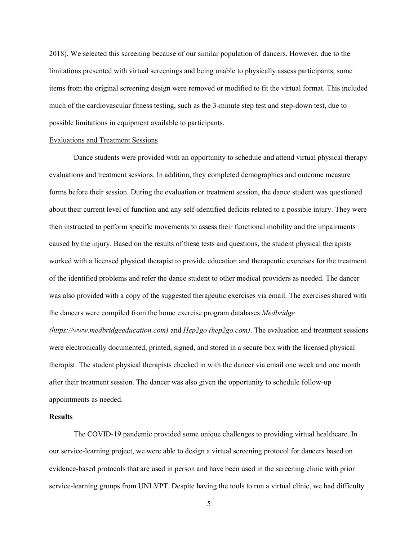2018). We selected this screening because of our similar population of dancers. However, due to the limitations presented with virtual screenings and being unable to physically assess participants, some items from the original screening design were removed or modified to fit the virtual format. This included much of the cardiovascular fitness testing, such as the 3-minute step test and step-down test, due to possible limitations in equipment available to participants.

### Evaluations and Treatment Sessions

Dance students were provided with an opportunity to schedule and attend virtual physical therapy evaluations and treatment sessions. In addition, they completed demographics and outcome measure forms before their session. During the evaluation or treatment session, the dance student was questioned about their current level of function and any self-identified deficits related to a possible injury. They were then instructed to perform specific movements to assess their functional mobility and the impairments caused by the injury. Based on the results of these tests and questions, the student physical therapists worked with a licensed physical therapist to provide education and therapeutic exercises for the treatment of the identified problems and refer the dance student to other medical providers as needed. The dancer was also provided with a copy of the suggested therapeutic exercises via email. The exercises shared with the dancers were compiled from the home exercise program databases *Medbridge* 

*(https://www.medbridgeeducation.com)* and *Hep2go (hep2go.com)*. The evaluation and treatment sessions were electronically documented, printed, signed, and stored in a secure box with the licensed physical therapist. The student physical therapists checked in with the dancer via email one week and one month after their treatment session. The dancer was also given the opportunity to schedule follow-up appointments as needed.

### **Results**

The COVID-19 pandemic provided some unique challenges to providing virtual healthcare. In our service-learning project, we were able to design a virtual screening protocol for dancers based on evidence-based protocols that are used in person and have been used in the screening clinic with prior service-learning groups from UNLVPT. Despite having the tools to run a virtual clinic, we had difficulty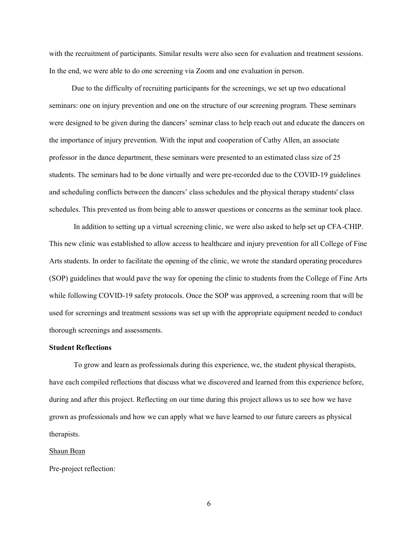with the recruitment of participants. Similar results were also seen for evaluation and treatment sessions. In the end, we were able to do one screening via Zoom and one evaluation in person.

 Due to the difficulty of recruiting participants for the screenings, we set up two educational seminars: one on injury prevention and one on the structure of our screening program. These seminars were designed to be given during the dancers' seminar class to help reach out and educate the dancers on the importance of injury prevention. With the input and cooperation of Cathy Allen, an associate professor in the dance department, these seminars were presented to an estimated class size of 25 students. The seminars had to be done virtually and were pre-recorded due to the COVID-19 guidelines and scheduling conflicts between the dancers' class schedules and the physical therapy students' class schedules. This prevented us from being able to answer questions or concerns as the seminar took place.

In addition to setting up a virtual screening clinic, we were also asked to help set up CFA-CHIP. This new clinic was established to allow access to healthcare and injury prevention for all College of Fine Arts students. In order to facilitate the opening of the clinic, we wrote the standard operating procedures (SOP) guidelines that would pave the way for opening the clinic to students from the College of Fine Arts while following COVID-19 safety protocols. Once the SOP was approved, a screening room that will be used for screenings and treatment sessions was set up with the appropriate equipment needed to conduct thorough screenings and assessments.

# **Student Reflections**

To grow and learn as professionals during this experience, we, the student physical therapists, have each compiled reflections that discuss what we discovered and learned from this experience before, during and after this project. Reflecting on our time during this project allows us to see how we have grown as professionals and how we can apply what we have learned to our future careers as physical therapists.

### Shaun Bean

Pre-project reflection: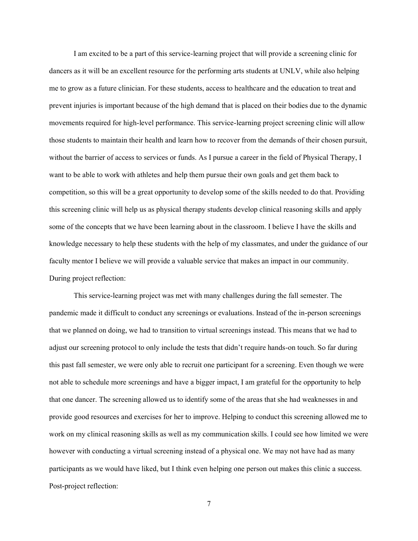I am excited to be a part of this service-learning project that will provide a screening clinic for dancers as it will be an excellent resource for the performing arts students at UNLV, while also helping me to grow as a future clinician. For these students, access to healthcare and the education to treat and prevent injuries is important because of the high demand that is placed on their bodies due to the dynamic movements required for high-level performance. This service-learning project screening clinic will allow those students to maintain their health and learn how to recover from the demands of their chosen pursuit, without the barrier of access to services or funds. As I pursue a career in the field of Physical Therapy, I want to be able to work with athletes and help them pursue their own goals and get them back to competition, so this will be a great opportunity to develop some of the skills needed to do that. Providing this screening clinic will help us as physical therapy students develop clinical reasoning skills and apply some of the concepts that we have been learning about in the classroom. I believe I have the skills and knowledge necessary to help these students with the help of my classmates, and under the guidance of our faculty mentor I believe we will provide a valuable service that makes an impact in our community. During project reflection:

This service-learning project was met with many challenges during the fall semester. The pandemic made it difficult to conduct any screenings or evaluations. Instead of the in-person screenings that we planned on doing, we had to transition to virtual screenings instead. This means that we had to adjust our screening protocol to only include the tests that didn't require hands-on touch. So far during this past fall semester, we were only able to recruit one participant for a screening. Even though we were not able to schedule more screenings and have a bigger impact, I am grateful for the opportunity to help that one dancer. The screening allowed us to identify some of the areas that she had weaknesses in and provide good resources and exercises for her to improve. Helping to conduct this screening allowed me to work on my clinical reasoning skills as well as my communication skills. I could see how limited we were however with conducting a virtual screening instead of a physical one. We may not have had as many participants as we would have liked, but I think even helping one person out makes this clinic a success. Post-project reflection: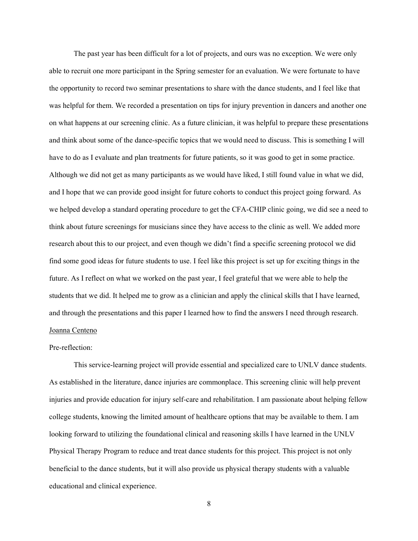The past year has been difficult for a lot of projects, and ours was no exception. We were only able to recruit one more participant in the Spring semester for an evaluation. We were fortunate to have the opportunity to record two seminar presentations to share with the dance students, and I feel like that was helpful for them. We recorded a presentation on tips for injury prevention in dancers and another one on what happens at our screening clinic. As a future clinician, it was helpful to prepare these presentations and think about some of the dance-specific topics that we would need to discuss. This is something I will have to do as I evaluate and plan treatments for future patients, so it was good to get in some practice. Although we did not get as many participants as we would have liked, I still found value in what we did, and I hope that we can provide good insight for future cohorts to conduct this project going forward. As we helped develop a standard operating procedure to get the CFA-CHIP clinic going, we did see a need to think about future screenings for musicians since they have access to the clinic as well. We added more research about this to our project, and even though we didn't find a specific screening protocol we did find some good ideas for future students to use. I feel like this project is set up for exciting things in the future. As I reflect on what we worked on the past year, I feel grateful that we were able to help the students that we did. It helped me to grow as a clinician and apply the clinical skills that I have learned, and through the presentations and this paper I learned how to find the answers I need through research. Joanna Centeno

# Pre-reflection:

This service-learning project will provide essential and specialized care to UNLV dance students. As established in the literature, dance injuries are commonplace. This screening clinic will help prevent injuries and provide education for injury self-care and rehabilitation. I am passionate about helping fellow college students, knowing the limited amount of healthcare options that may be available to them. I am looking forward to utilizing the foundational clinical and reasoning skills I have learned in the UNLV Physical Therapy Program to reduce and treat dance students for this project. This project is not only beneficial to the dance students, but it will also provide us physical therapy students with a valuable educational and clinical experience.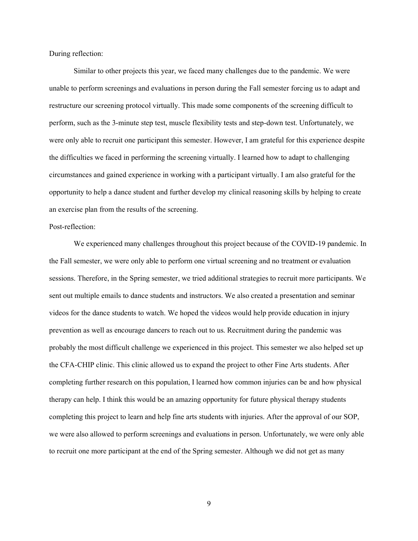During reflection:

Similar to other projects this year, we faced many challenges due to the pandemic. We were unable to perform screenings and evaluations in person during the Fall semester forcing us to adapt and restructure our screening protocol virtually. This made some components of the screening difficult to perform, such as the 3-minute step test, muscle flexibility tests and step-down test. Unfortunately, we were only able to recruit one participant this semester. However, I am grateful for this experience despite the difficulties we faced in performing the screening virtually. I learned how to adapt to challenging circumstances and gained experience in working with a participant virtually. I am also grateful for the opportunity to help a dance student and further develop my clinical reasoning skills by helping to create an exercise plan from the results of the screening.

# Post-reflection:

We experienced many challenges throughout this project because of the COVID-19 pandemic. In the Fall semester, we were only able to perform one virtual screening and no treatment or evaluation sessions. Therefore, in the Spring semester, we tried additional strategies to recruit more participants. We sent out multiple emails to dance students and instructors. We also created a presentation and seminar videos for the dance students to watch. We hoped the videos would help provide education in injury prevention as well as encourage dancers to reach out to us. Recruitment during the pandemic was probably the most difficult challenge we experienced in this project. This semester we also helped set up the CFA-CHIP clinic. This clinic allowed us to expand the project to other Fine Arts students. After completing further research on this population, I learned how common injuries can be and how physical therapy can help. I think this would be an amazing opportunity for future physical therapy students completing this project to learn and help fine arts students with injuries. After the approval of our SOP, we were also allowed to perform screenings and evaluations in person. Unfortunately, we were only able to recruit one more participant at the end of the Spring semester. Although we did not get as many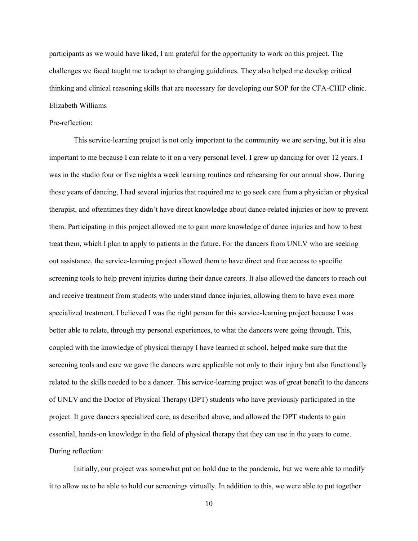participants as we would have liked, I am grateful for the opportunity to work on this project. The challenges we faced taught me to adapt to changing guidelines. They also helped me develop critical thinking and clinical reasoning skills that are necessary for developing our SOP for the CFA-CHIP clinic. Elizabeth Williams

# Pre-reflection:

This service-learning project is not only important to the community we are serving, but it is also important to me because I can relate to it on a very personal level. I grew up dancing for over 12 years. I was in the studio four or five nights a week learning routines and rehearsing for our annual show. During those years of dancing, I had several injuries that required me to go seek care from a physician or physical therapist, and oftentimes they didn't have direct knowledge about dance-related injuries or how to prevent them. Participating in this project allowed me to gain more knowledge of dance injuries and how to best treat them, which I plan to apply to patients in the future. For the dancers from UNLV who are seeking out assistance, the service-learning project allowed them to have direct and free access to specific screening tools to help prevent injuries during their dance careers. It also allowed the dancers to reach out and receive treatment from students who understand dance injuries, allowing them to have even more specialized treatment. I believed I was the right person for this service-learning project because I was better able to relate, through my personal experiences, to what the dancers were going through. This, coupled with the knowledge of physical therapy I have learned at school, helped make sure that the screening tools and care we gave the dancers were applicable not only to their injury but also functionally related to the skills needed to be a dancer. This service-learning project was of great benefit to the dancers of UNLV and the Doctor of Physical Therapy (DPT) students who have previously participated in the project. It gave dancers specialized care, as described above, and allowed the DPT students to gain essential, hands-on knowledge in the field of physical therapy that they can use in the years to come. During reflection:

Initially, our project was somewhat put on hold due to the pandemic, but we were able to modify it to allow us to be able to hold our screenings virtually. In addition to this, we were able to put together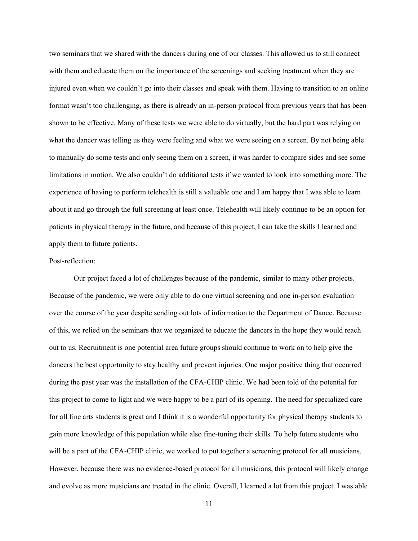two seminars that we shared with the dancers during one of our classes. This allowed us to still connect with them and educate them on the importance of the screenings and seeking treatment when they are injured even when we couldn't go into their classes and speak with them. Having to transition to an online format wasn't too challenging, as there is already an in-person protocol from previous years that has been shown to be effective. Many of these tests we were able to do virtually, but the hard part was relying on what the dancer was telling us they were feeling and what we were seeing on a screen. By not being able to manually do some tests and only seeing them on a screen, it was harder to compare sides and see some limitations in motion. We also couldn't do additional tests if we wanted to look into something more. The experience of having to perform telehealth is still a valuable one and I am happy that I was able to learn about it and go through the full screening at least once. Telehealth will likely continue to be an option for patients in physical therapy in the future, and because of this project, I can take the skills I learned and apply them to future patients.

# Post-reflection:

Our project faced a lot of challenges because of the pandemic, similar to many other projects. Because of the pandemic, we were only able to do one virtual screening and one in-person evaluation over the course of the year despite sending out lots of information to the Department of Dance. Because of this, we relied on the seminars that we organized to educate the dancers in the hope they would reach out to us. Recruitment is one potential area future groups should continue to work on to help give the dancers the best opportunity to stay healthy and prevent injuries. One major positive thing that occurred during the past year was the installation of the CFA-CHIP clinic. We had been told of the potential for this project to come to light and we were happy to be a part of its opening. The need for specialized care for all fine arts students is great and I think it is a wonderful opportunity for physical therapy students to gain more knowledge of this population while also fine-tuning their skills. To help future students who will be a part of the CFA-CHIP clinic, we worked to put together a screening protocol for all musicians. However, because there was no evidence-based protocol for all musicians, this protocol will likely change and evolve as more musicians are treated in the clinic. Overall, I learned a lot from this project. I was able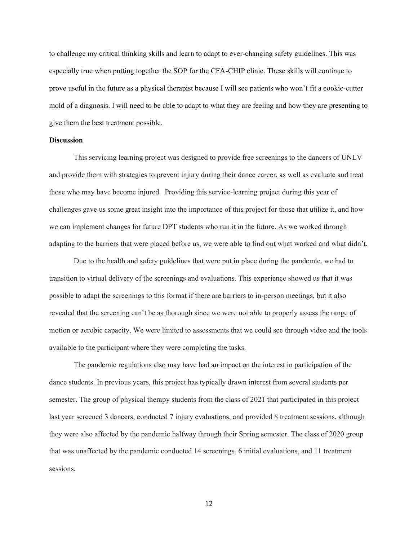to challenge my critical thinking skills and learn to adapt to ever-changing safety guidelines. This was especially true when putting together the SOP for the CFA-CHIP clinic. These skills will continue to prove useful in the future as a physical therapist because I will see patients who won't fit a cookie-cutter mold of a diagnosis. I will need to be able to adapt to what they are feeling and how they are presenting to give them the best treatment possible.

# **Discussion**

This servicing learning project was designed to provide free screenings to the dancers of UNLV and provide them with strategies to prevent injury during their dance career, as well as evaluate and treat those who may have become injured. Providing this service-learning project during this year of challenges gave us some great insight into the importance of this project for those that utilize it, and how we can implement changes for future DPT students who run it in the future. As we worked through adapting to the barriers that were placed before us, we were able to find out what worked and what didn't.

Due to the health and safety guidelines that were put in place during the pandemic, we had to transition to virtual delivery of the screenings and evaluations. This experience showed us that it was possible to adapt the screenings to this format if there are barriers to in-person meetings, but it also revealed that the screening can't be as thorough since we were not able to properly assess the range of motion or aerobic capacity. We were limited to assessments that we could see through video and the tools available to the participant where they were completing the tasks.

The pandemic regulations also may have had an impact on the interest in participation of the dance students. In previous years, this project has typically drawn interest from several students per semester. The group of physical therapy students from the class of 2021 that participated in this project last year screened 3 dancers, conducted 7 injury evaluations, and provided 8 treatment sessions, although they were also affected by the pandemic halfway through their Spring semester. The class of 2020 group that was unaffected by the pandemic conducted 14 screenings, 6 initial evaluations, and 11 treatment sessions.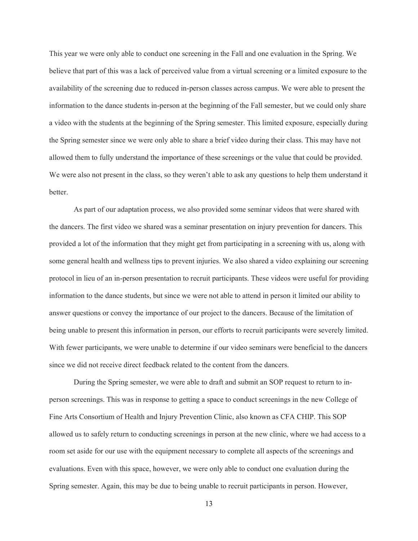This year we were only able to conduct one screening in the Fall and one evaluation in the Spring. We believe that part of this was a lack of perceived value from a virtual screening or a limited exposure to the availability of the screening due to reduced in-person classes across campus. We were able to present the information to the dance students in-person at the beginning of the Fall semester, but we could only share a video with the students at the beginning of the Spring semester. This limited exposure, especially during the Spring semester since we were only able to share a brief video during their class. This may have not allowed them to fully understand the importance of these screenings or the value that could be provided. We were also not present in the class, so they weren't able to ask any questions to help them understand it better.

As part of our adaptation process, we also provided some seminar videos that were shared with the dancers. The first video we shared was a seminar presentation on injury prevention for dancers. This provided a lot of the information that they might get from participating in a screening with us, along with some general health and wellness tips to prevent injuries. We also shared a video explaining our screening protocol in lieu of an in-person presentation to recruit participants. These videos were useful for providing information to the dance students, but since we were not able to attend in person it limited our ability to answer questions or convey the importance of our project to the dancers. Because of the limitation of being unable to present this information in person, our efforts to recruit participants were severely limited. With fewer participants, we were unable to determine if our video seminars were beneficial to the dancers since we did not receive direct feedback related to the content from the dancers.

During the Spring semester, we were able to draft and submit an SOP request to return to inperson screenings. This was in response to getting a space to conduct screenings in the new College of Fine Arts Consortium of Health and Injury Prevention Clinic, also known as CFA CHIP. This SOP allowed us to safely return to conducting screenings in person at the new clinic, where we had access to a room set aside for our use with the equipment necessary to complete all aspects of the screenings and evaluations. Even with this space, however, we were only able to conduct one evaluation during the Spring semester. Again, this may be due to being unable to recruit participants in person. However,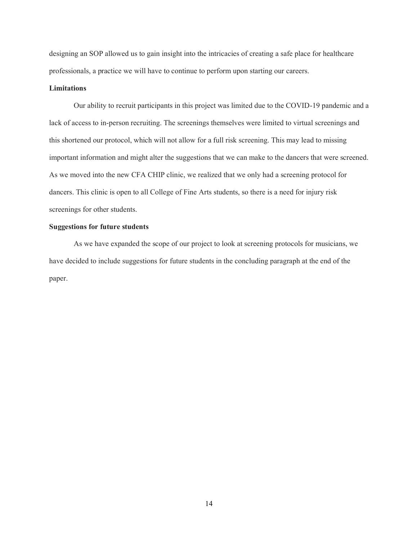designing an SOP allowed us to gain insight into the intricacies of creating a safe place for healthcare professionals, a practice we will have to continue to perform upon starting our careers.

# **Limitations**

Our ability to recruit participants in this project was limited due to the COVID-19 pandemic and a lack of access to in-person recruiting. The screenings themselves were limited to virtual screenings and this shortened our protocol, which will not allow for a full risk screening. This may lead to missing important information and might alter the suggestions that we can make to the dancers that were screened. As we moved into the new CFA CHIP clinic, we realized that we only had a screening protocol for dancers. This clinic is open to all College of Fine Arts students, so there is a need for injury risk screenings for other students.

### **Suggestions for future students**

As we have expanded the scope of our project to look at screening protocols for musicians, we have decided to include suggestions for future students in the concluding paragraph at the end of the paper.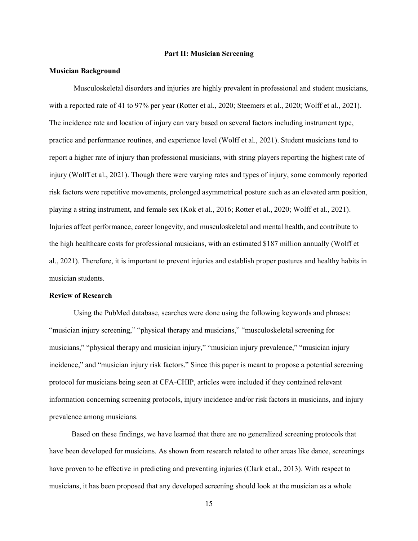### **Part II: Musician Screening**

# **Musician Background**

Musculoskeletal disorders and injuries are highly prevalent in professional and student musicians, with a reported rate of 41 to 97% per year [\(Rotter et al., 2020; Steemers et al., 2020; Wolff et al., 2021\).](https://www.zotero.org/google-docs/?u2gpw3) The incidence rate and location of injury can vary based on several factors including instrument type, practice and performance routines, and experience level [\(Wolff et al., 2021\).](https://www.zotero.org/google-docs/?934N9B) Student musicians tend to report a higher rate of injury than professional musicians, with string players reporting the highest rate of injury [\(Wolff et al., 2021\).](https://www.zotero.org/google-docs/?2zkfKp) Though there were varying rates and types of injury, some commonly reported risk factors were repetitive movements, prolonged asymmetrical posture such as an elevated arm position, playing a string instrument, and female sex [\(Kok et al., 2016; Rotter et al., 2020; Wolff et al., 2021\).](https://www.zotero.org/google-docs/?vv9HKQ) Injuries affect performance, career longevity, and musculoskeletal and mental health, and contribute to the high healthcare costs for professional musicians, with an estimated \$187 million annually [\(Wolff et](https://www.zotero.org/google-docs/?ew8rII)  [al., 2021\).](https://www.zotero.org/google-docs/?ew8rII) Therefore, it is important to prevent injuries and establish proper postures and healthy habits in musician students.

### **Review of Research**

Using the PubMed database, searches were done using the following keywords and phrases: "musician injury screening," "physical therapy and musicians," "musculoskeletal screening for musicians," "physical therapy and musician injury," "musician injury prevalence," "musician injury incidence," and "musician injury risk factors." Since this paper is meant to propose a potential screening protocol for musicians being seen at CFA-CHIP, articles were included if they contained relevant information concerning screening protocols, injury incidence and/or risk factors in musicians, and injury prevalence among musicians.

 Based on these findings, we have learned that there are no generalized screening protocols that have been developed for musicians. As shown from research related to other areas like dance, screenings have proven to be effective in predicting and preventing injuries [\(Clark et al., 2013\).](https://www.zotero.org/google-docs/?dxjArD) With respect to musicians, it has been proposed that any developed screening should look at the musician as a whole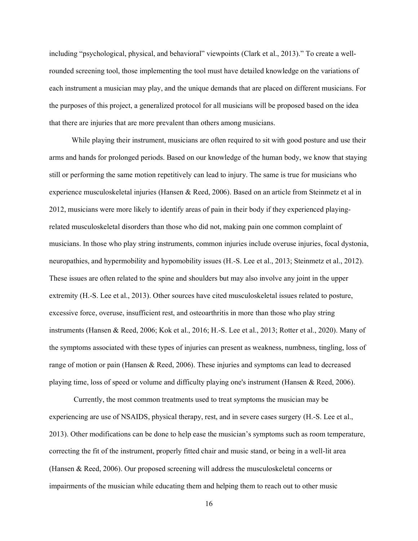including "psychological, physical, and behavioral" viewpoints [\(Clark et al., 2013\)](https://www.zotero.org/google-docs/?cT7Qbp)." To create a wellrounded screening tool, those implementing the tool must have detailed knowledge on the variations of each instrument a musician may play, and the unique demands that are placed on different musicians. For the purposes of this project, a generalized protocol for all musicians will be proposed based on the idea that there are injuries that are more prevalent than others among musicians.

 While playing their instrument, musicians are often required to sit with good posture and use their arms and hands for prolonged periods. Based on our knowledge of the human body, we know that staying still or performing the same motion repetitively can lead to injury. The same is true for musicians who experience musculoskeletal injuries [\(Hansen & Reed, 2006\).](https://www.zotero.org/google-docs/?tfbMSq) Based on an article from Steinmetz et al in 2012, musicians were more likely to identify areas of pain in their body if they experienced playingrelated musculoskeletal disorders than those who did not, making pain one common complaint of musicians. In those who play string instruments, common injuries include overuse injuries, focal dystonia, neuropathies, and hypermobility and hypomobility issues [\(H.-S. Lee et al., 2013; Steinmetz et al., 2012\).](https://www.zotero.org/google-docs/?7Wg00o) These issues are often related to the spine and shoulders but may also involve any joint in the upper extremity [\(H.-S. Lee et al., 2013\).](https://www.zotero.org/google-docs/?yH4cgL) Other sources have cited musculoskeletal issues related to posture, excessive force, overuse, insufficient rest, and osteoarthritis in more than those who play string instruments [\(Hansen & Reed, 2006; Kok et al., 2016; H.-S. Lee et al., 2013; Rotter et al., 2020\).](https://www.zotero.org/google-docs/?uQYQWS) Many of the symptoms associated with these types of injuries can present as weakness, numbness, tingling, loss of range of motion or pain [\(Hansen & Reed, 2006\).](https://www.zotero.org/google-docs/?dCCEy8) These injuries and symptoms can lead to decreased playing time, loss of speed or volume and difficulty playing one's instrument [\(Hansen & Reed, 2006\).](https://www.zotero.org/google-docs/?tYpE9B)

Currently, the most common treatments used to treat symptoms the musician may be experiencing are use of NSAIDS, physical therapy, rest, and in severe cases surgery [\(H.-S. Lee et al.,](https://www.zotero.org/google-docs/?Crqu1k)  [2013\).](https://www.zotero.org/google-docs/?Crqu1k) Other modifications can be done to help ease the musician's symptoms such as room temperature, correcting the fit of the instrument, properly fitted chair and music stand, or being in a well-lit area [\(Hansen & Reed, 2006\).](https://www.zotero.org/google-docs/?ohoj2x) Our proposed screening will address the musculoskeletal concerns or impairments of the musician while educating them and helping them to reach out to other music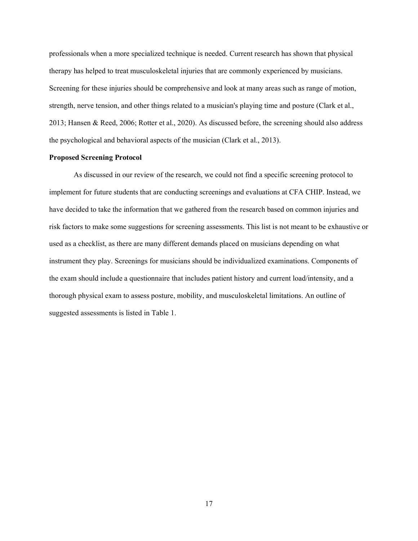professionals when a more specialized technique is needed. Current research has shown that physical therapy has helped to treat musculoskeletal injuries that are commonly experienced by musicians. Screening for these injuries should be comprehensive and look at many areas such as range of motion, strength, nerve tension, and other things related to a musician's playing time and posture [\(Clark et al.,](https://www.zotero.org/google-docs/?XWC4mg)  [2013; Hansen & Reed, 2006; Rotter et al., 2020\).](https://www.zotero.org/google-docs/?XWC4mg) As discussed before, the screening should also address the psychological and behavioral aspects of the musician [\(Clark et al., 2013\).](https://www.zotero.org/google-docs/?IzfXc8)

# **Proposed Screening Protocol**

As discussed in our review of the research, we could not find a specific screening protocol to implement for future students that are conducting screenings and evaluations at CFA CHIP. Instead, we have decided to take the information that we gathered from the research based on common injuries and risk factors to make some suggestions for screening assessments. This list is not meant to be exhaustive or used as a checklist, as there are many different demands placed on musicians depending on what instrument they play. Screenings for musicians should be individualized examinations. Components of the exam should include a questionnaire that includes patient history and current load/intensity, and a thorough physical exam to assess posture, mobility, and musculoskeletal limitations. An outline of suggested assessments is listed in Table 1.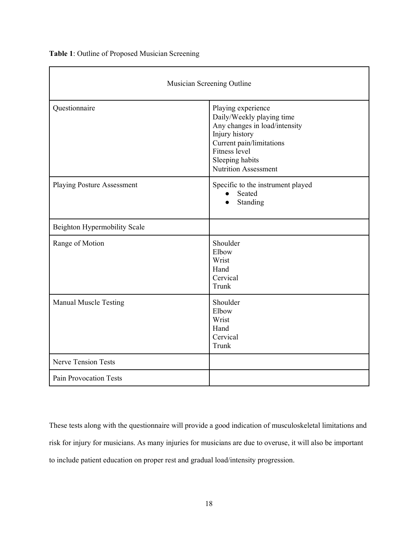**Table 1**: Outline of Proposed Musician Screening

| Musician Screening Outline        |                                                                                                                                                                                                   |
|-----------------------------------|---------------------------------------------------------------------------------------------------------------------------------------------------------------------------------------------------|
| Questionnaire                     | Playing experience<br>Daily/Weekly playing time<br>Any changes in load/intensity<br>Injury history<br>Current pain/limitations<br>Fitness level<br>Sleeping habits<br><b>Nutrition Assessment</b> |
| <b>Playing Posture Assessment</b> | Specific to the instrument played<br>Seated<br>Standing                                                                                                                                           |
| Beighton Hypermobility Scale      |                                                                                                                                                                                                   |
| Range of Motion                   | Shoulder<br>Elbow<br>Wrist<br>Hand<br>Cervical<br>Trunk                                                                                                                                           |
| Manual Muscle Testing             | Shoulder<br>Elbow<br>Wrist<br>Hand<br>Cervical<br>Trunk                                                                                                                                           |
| <b>Nerve Tension Tests</b>        |                                                                                                                                                                                                   |
| <b>Pain Provocation Tests</b>     |                                                                                                                                                                                                   |

These tests along with the questionnaire will provide a good indication of musculoskeletal limitations and risk for injury for musicians. As many injuries for musicians are due to overuse, it will also be important to include patient education on proper rest and gradual load/intensity progression.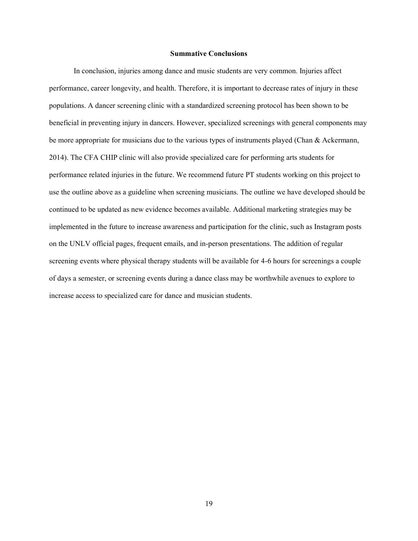## **Summative Conclusions**

In conclusion, injuries among dance and music students are very common. Injuries affect performance, career longevity, and health. Therefore, it is important to decrease rates of injury in these populations. A dancer screening clinic with a standardized screening protocol has been shown to be beneficial in preventing injury in dancers. However, specialized screenings with general components may be more appropriate for musicians due to the various types of instruments played (Chan & Ackermann, [2014\).](https://www.zotero.org/google-docs/?FhQXTb) The CFA CHIP clinic will also provide specialized care for performing arts students for performance related injuries in the future. We recommend future PT students working on this project to use the outline above as a guideline when screening musicians. The outline we have developed should be continued to be updated as new evidence becomes available. Additional marketing strategies may be implemented in the future to increase awareness and participation for the clinic, such as Instagram posts on the UNLV official pages, frequent emails, and in-person presentations. The addition of regular screening events where physical therapy students will be available for 4-6 hours for screenings a couple of days a semester, or screening events during a dance class may be worthwhile avenues to explore to increase access to specialized care for dance and musician students.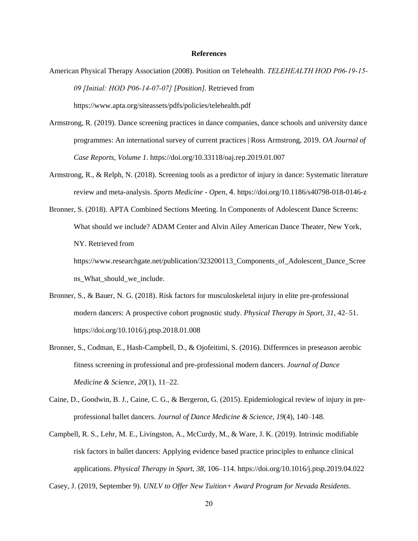### **References**

- American Physical Therapy Association (2008). Position on Telehealth. *TELEHEALTH HOD P06‐19‐15‐ 09 [Initial: HOD P06‐14‐07‐07] [Position].* Retrieved from https://www.apta.org/siteassets/pdfs/policies/telehealth.pdf
- [Armstrong, R. \(2019\). Dance screening practices in dance companies, dance schools and university dance](https://www.zotero.org/google-docs/?broken=y8RYe9)  [programmes: An international survey of current practices | Ross Armstrong, 2019.](https://www.zotero.org/google-docs/?broken=y8RYe9) *[OA Journal of](https://www.zotero.org/google-docs/?broken=y8RYe9)  [Case Reports](https://www.zotero.org/google-docs/?broken=y8RYe9)*[,](https://www.zotero.org/google-docs/?broken=y8RYe9) *[Volume 1](https://www.zotero.org/google-docs/?broken=y8RYe9)*[.](https://www.zotero.org/google-docs/?broken=y8RYe9) [https://doi.org/10.33118/oaj.rep.2019.01.007](https://www.zotero.org/google-docs/?broken=XGGr3W)
- [Armstrong, R., & Relph, N. \(2018\). Screening tools as a predictor of injury in dance: Systematic literature](https://www.zotero.org/google-docs/?broken=IIHu4Z)  [review and meta-analysis.](https://www.zotero.org/google-docs/?broken=IIHu4Z) *[Sports Medicine -](https://www.zotero.org/google-docs/?broken=IIHu4Z) Open*[,](https://www.zotero.org/google-docs/?broken=IIHu4Z) [4](https://www.zotero.org/google-docs/?broken=IIHu4Z)[.](https://www.zotero.org/google-docs/?broken=IIHu4Z) <https://doi.org/10.1186/s40798-018-0146-z>
- Bronner, S. (2018). APTA Combined Sections Meeting. In Components of Adolescent Dance Screens: What should we include? ADAM Center and Alvin Ailey American Dance Theater, New York, NY. Retrieved from https://www.researchgate.net/publication/323200113 Components of Adolescent Dance Scree ns\_What\_should\_we\_include.
- [Bronner, S., & Bauer, N. G. \(2018\). Risk factors for musculoskeletal injury in elite pre-professional](https://www.zotero.org/google-docs/?broken=XzdKcr)  [modern dancers: A prospective cohort prognostic study.](https://www.zotero.org/google-docs/?broken=XzdKcr) *[Physical Therapy in Sport](https://www.zotero.org/google-docs/?broken=XzdKcr)*[,](https://www.zotero.org/google-docs/?broken=XzdKcr) *[31](https://www.zotero.org/google-docs/?broken=XzdKcr)*[, 42–51.](https://www.zotero.org/google-docs/?broken=XzdKcr)  [https://doi.org/10.1016/j.ptsp.2018.01.008](https://www.zotero.org/google-docs/?broken=XzdKcr)
- [Bronner, S., Codman, E., Hash-Campbell, D., & Ojofeitimi, S. \(2016\). Differences in preseason aerobic](https://www.zotero.org/google-docs/?broken=Hrn0bQ)  [fitness screening in professional and pre-professional modern dancers.](https://www.zotero.org/google-docs/?broken=Hrn0bQ) *[Journal of Dance](https://www.zotero.org/google-docs/?broken=Hrn0bQ)  [Medicine & Science](https://www.zotero.org/google-docs/?broken=Hrn0bQ)*[,](https://www.zotero.org/google-docs/?broken=Hrn0bQ) *[20](https://www.zotero.org/google-docs/?broken=Hrn0bQ)*[\(1\), 11–22.](https://www.zotero.org/google-docs/?broken=Hrn0bQ)
- [Caine, D., Goodwin, B. J., Caine, C. G., & Bergeron, G. \(2015\). Epidemiological review of injury in pre](https://www.zotero.org/google-docs/?broken=3HoJeY)[professional ballet dancers.](https://www.zotero.org/google-docs/?broken=3HoJeY) *[Journal of Dance Medicine & Science](https://www.zotero.org/google-docs/?broken=3HoJeY)*[,](https://www.zotero.org/google-docs/?broken=3HoJeY) *[19](https://www.zotero.org/google-docs/?broken=3HoJeY)*[\(4\), 140–148.](https://www.zotero.org/google-docs/?broken=3HoJeY)
- [Campbell, R. S., Lehr, M. E., Livingston, A., McCurdy, M., & Ware, J. K. \(2019\). Intrinsic modifiable](https://www.zotero.org/google-docs/?broken=QgWZWO)  [risk factors in ballet dancers: Applying evidence based practice principles to enhance clinical](https://www.zotero.org/google-docs/?broken=QgWZWO)  [applications.](https://www.zotero.org/google-docs/?broken=QgWZWO) *[Physical Therapy in Sport](https://www.zotero.org/google-docs/?broken=QgWZWO)*[,](https://www.zotero.org/google-docs/?broken=QgWZWO) *[38](https://www.zotero.org/google-docs/?broken=QgWZWO)*[, 106–114. https://doi.org/10.1016/j.ptsp.2019.04.022](https://www.zotero.org/google-docs/?broken=QgWZWO)

[Casey, J. \(2019, September 9\).](https://www.zotero.org/google-docs/?broken=f9Ey7F) *[UNLV to Offer New Tuition+](https://www.zotero.org/google-docs/?broken=f9Ey7F) [Award Program for Nevada Residents](https://www.zotero.org/google-docs/?broken=f9Ey7F)*[.](https://www.zotero.org/google-docs/?broken=f9Ey7F)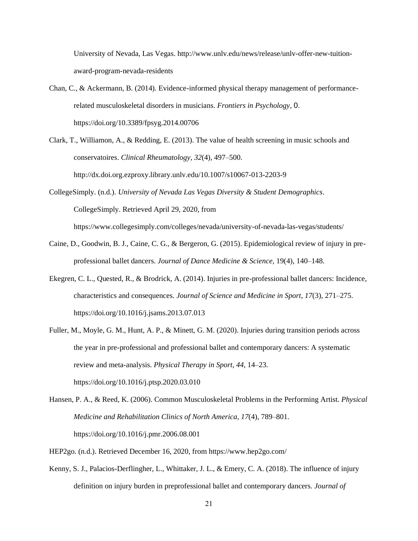[University of Nevada, Las Vegas.](https://www.zotero.org/google-docs/?broken=f9Ey7F) [http://www.unlv.edu/news/release/unlv-offer-new-tuition](http://www.unlv.edu/news/release/unlv-offer-new-tuition-award-program-nevada-residents)[award-program-nevada-residents](http://www.unlv.edu/news/release/unlv-offer-new-tuition-award-program-nevada-residents)

- [Chan, C., & Ackermann, B. \(2014\). Evidence-informed physical therapy management of performance](https://www.zotero.org/google-docs/?P43usN)[related musculoskeletal disorders in musicians.](https://www.zotero.org/google-docs/?P43usN) *[Frontiers in Psychology](https://www.zotero.org/google-docs/?P43usN)*[,](https://www.zotero.org/google-docs/?P43usN) [0](https://www.zotero.org/google-docs/?P43usN)[.](https://www.zotero.org/google-docs/?P43usN)  [https://doi.org/10.3389/fpsyg.2014.00706](https://www.zotero.org/google-docs/?P43usN)
- Clark, T., Williamon, A., & Redding, E. (2013). The value of health screening in music schools and conservatoires. *Clinical Rheumatology*, *32*(4), 497–500[.](http://dx.doi.org.ezproxy.library.unlv.edu/10.1007/s10067-013-2203-9) <http://dx.doi.org.ezproxy.library.unlv.edu/10.1007/s10067-013-2203-9>
- [CollegeSimply. \(n.d.\).](https://www.zotero.org/google-docs/?broken=hVTrbC) *[University of Nevada Las Vegas Diversity & Student Demographics](https://www.zotero.org/google-docs/?broken=hVTrbC)*. CollegeSimply. Retrieved April 29, 2020, from <https://www.collegesimply.com/colleges/nevada/university-of-nevada-las-vegas/students/>
- Caine, D., Goodwin, B. J., Caine, C. G., & Bergeron, G. (2015). Epidemiological review of injury in preprofessional ballet dancers. *Journal of Dance Medicine & Science,* 19(4), 140–148.
- [Ekegren, C. L., Quested, R., & Brodrick, A. \(2014\). Injuries in pre-professional ballet dancers: Incidence,](https://www.zotero.org/google-docs/?broken=VORbrC)  [characteristics and consequences.](https://www.zotero.org/google-docs/?broken=VORbrC) *[Journal of Science and Medicine in Sport](https://www.zotero.org/google-docs/?broken=VORbrC)*[,](https://www.zotero.org/google-docs/?broken=VORbrC) *[17](https://www.zotero.org/google-docs/?broken=VORbrC)*[\(3\), 271–275.](https://www.zotero.org/google-docs/?broken=VORbrC)  [https://doi.org/10.1016/j.jsams.2013.07.013](https://www.zotero.org/google-docs/?broken=VORbrC)
- [Fuller, M., Moyle, G. M., Hunt, A. P., & Minett, G. M. \(2020\). Injuries during transition periods across](https://www.zotero.org/google-docs/?broken=JwPoz7)  [the year in pre-professional and professional ballet and contemporary dancers: A systematic](https://www.zotero.org/google-docs/?broken=JwPoz7)  [review and meta-analysis.](https://www.zotero.org/google-docs/?broken=JwPoz7) *[Physical Therapy in Sport](https://www.zotero.org/google-docs/?broken=JwPoz7)*[,](https://www.zotero.org/google-docs/?broken=JwPoz7) *[44](https://www.zotero.org/google-docs/?broken=JwPoz7)*[, 14–23.](https://www.zotero.org/google-docs/?broken=JwPoz7)  <https://doi.org/10.1016/j.ptsp.2020.03.010>

[Hansen, P. A., & Reed, K. \(2006\). Common Musculoskeletal Problems in the Performing Artist.](https://www.zotero.org/google-docs/?P43usN) *[Physical](https://www.zotero.org/google-docs/?P43usN)  [Medicine and Rehabilitation Clinics of North America](https://www.zotero.org/google-docs/?P43usN)*[,](https://www.zotero.org/google-docs/?P43usN) *[17](https://www.zotero.org/google-docs/?P43usN)*[\(4\), 789–801.](https://www.zotero.org/google-docs/?P43usN)  <https://doi.org/10.1016/j.pmr.2006.08.001>

- HEP2go. (n.d.). Retrieved December 16, 2020, from https://www.hep2go.com/
- [Kenny, S. J., Palacios-Derflingher, L., Whittaker, J. L., & Emery, C. A. \(2018\). The influence of injury](https://www.zotero.org/google-docs/?broken=JxqiR2)  [definition on injury burden in preprofessional](https://www.zotero.org/google-docs/?broken=JxqiR2) [ballet and contemporary dancers.](https://www.zotero.org/google-docs/?broken=JxqiR2) *[Journal of](https://www.zotero.org/google-docs/?broken=JxqiR2)*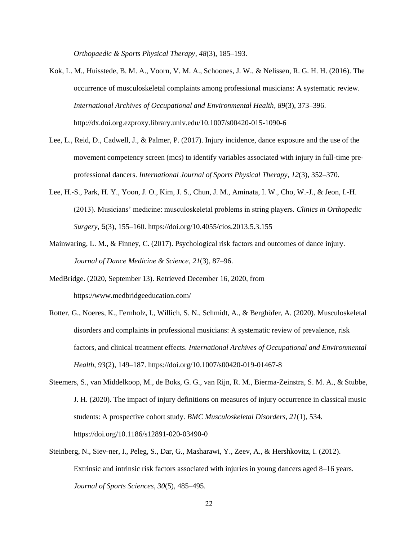*[Orthopaedic & Sports Physical Therapy](https://www.zotero.org/google-docs/?broken=JxqiR2)*[,](https://www.zotero.org/google-docs/?broken=JxqiR2) *[48](https://www.zotero.org/google-docs/?broken=JxqiR2)*[\(3\), 185–193.](https://www.zotero.org/google-docs/?broken=JxqiR2)

- [Kok, L. M., Huisstede, B. M. A., Voorn, V. M. A., Schoones, J. W., & Nelissen, R. G. H. H. \(2016\). The](https://www.zotero.org/google-docs/?P43usN)  [occurrence of musculoskeletal complaints among professional musicians: A systematic review.](https://www.zotero.org/google-docs/?P43usN)  *[International Archives of Occupational and Environmental Health](https://www.zotero.org/google-docs/?P43usN)*[,](https://www.zotero.org/google-docs/?P43usN) *[89](https://www.zotero.org/google-docs/?P43usN)*[\(3\), 373–396.](https://www.zotero.org/google-docs/?P43usN)  [http://dx.doi.org.ezproxy.library.unlv.edu/10.1007/s00420-015-1090-6](https://www.zotero.org/google-docs/?P43usN)
- [Lee, L., Reid, D., Cadwell, J., & Palmer, P. \(2017\). Injury](https://www.zotero.org/google-docs/?broken=naxuFk) incidence, dance exposure and the use of the [movement competency screen \(mcs\) to identify variables associated with injury in full-time pre](https://www.zotero.org/google-docs/?broken=naxuFk)[professional dancers.](https://www.zotero.org/google-docs/?broken=naxuFk) *[International Journal of Sports Physical Therapy](https://www.zotero.org/google-docs/?broken=naxuFk)*[,](https://www.zotero.org/google-docs/?broken=naxuFk) *[12](https://www.zotero.org/google-docs/?broken=naxuFk)*[\(3\), 352–370.](https://www.zotero.org/google-docs/?broken=naxuFk)
- [Lee, H.-S., Park, H. Y., Yoon, J. O., Kim, J. S., Chun, J. M., Aminata, I. W., Cho, W.-J., & Jeon, I.-H.](https://www.zotero.org/google-docs/?P43usN)  [\(2013\). Musicians' medicine: musculoskeletal problems in string players.](https://www.zotero.org/google-docs/?P43usN) *[Clinics in Orthopedic](https://www.zotero.org/google-docs/?P43usN)  [Surgery](https://www.zotero.org/google-docs/?P43usN)*[,](https://www.zotero.org/google-docs/?P43usN) [5](https://www.zotero.org/google-docs/?P43usN)[\(3\), 155–160. https://doi.org/10.4055/cios.2013.5.3.155](https://www.zotero.org/google-docs/?P43usN)
- [Mainwaring, L. M., & Finney, C. \(2017\). Psychological risk factors and outcomes of dance injury.](https://www.zotero.org/google-docs/?broken=GAi7Bj)  *[Journal of Dance Medicine & Science](https://www.zotero.org/google-docs/?broken=GAi7Bj)*[,](https://www.zotero.org/google-docs/?broken=GAi7Bj) *[21](https://www.zotero.org/google-docs/?broken=GAi7Bj)*[\(3\), 87–96.](https://www.zotero.org/google-docs/?broken=GAi7Bj)
- MedBridge. (2020, September 13). Retrieved December 16, 2020, from https://www.medbridgeeducation.com/
- [Rotter, G., Noeres, K., Fernholz, I., Willich, S. N., Schmidt, A., & Berghöfer, A. \(2020\). Musculoskeletal](https://www.zotero.org/google-docs/?P43usN)  [disorders and complaints in professional musicians: A systematic review of prevalence, risk](https://www.zotero.org/google-docs/?P43usN) [factors, and clinical treatment effects.](https://www.zotero.org/google-docs/?P43usN) *[International Archives of Occupational and Environmental](https://www.zotero.org/google-docs/?P43usN)  [Health](https://www.zotero.org/google-docs/?P43usN)*[,](https://www.zotero.org/google-docs/?P43usN) *[93](https://www.zotero.org/google-docs/?P43usN)*[\(2\), 149–187.](https://www.zotero.org/google-docs/?P43usN) <https://doi.org/10.1007/s00420-019-01467-8>
- [Steemers, S., van Middelkoop, M., de Boks, G. G., van Rijn, R. M., Bierma-Zeinstra, S. M. A., & Stubbe,](https://www.zotero.org/google-docs/?P43usN)  [J. H. \(2020\). The impact of injury definitions on measures of injury occurrence in classical music](https://www.zotero.org/google-docs/?P43usN)  [students: A prospective cohort study.](https://www.zotero.org/google-docs/?P43usN) *[BMC Musculoskeletal Disorders](https://www.zotero.org/google-docs/?P43usN)*[,](https://www.zotero.org/google-docs/?P43usN) *[21](https://www.zotero.org/google-docs/?P43usN)*[\(1\), 534.](https://www.zotero.org/google-docs/?P43usN)  [https://doi.org/10.1186/s12891-020-03490-0](https://www.zotero.org/google-docs/?P43usN)
- [Steinberg, N., Siev-ner, I., Peleg, S., Dar, G., Masharawi, Y., Zeev, A., &](https://www.zotero.org/google-docs/?broken=rGapNP) Hershkovitz, I. (2012). [Extrinsic and intrinsic risk factors associated with injuries in young dancers aged 8–16 years.](https://www.zotero.org/google-docs/?broken=rGapNP)  *[Journal of Sports Sciences](https://www.zotero.org/google-docs/?broken=rGapNP)*[,](https://www.zotero.org/google-docs/?broken=rGapNP) *[30](https://www.zotero.org/google-docs/?broken=rGapNP)*[\(5\), 485–495.](https://www.zotero.org/google-docs/?broken=rGapNP)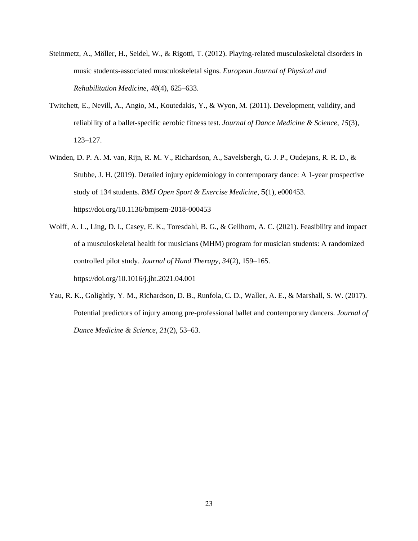- [Steinmetz, A., Möller, H., Seidel, W., & Rigotti, T. \(2012\). Playing-related musculoskeletal disorders in](https://www.zotero.org/google-docs/?P43usN)  [music students-associated musculoskeletal signs.](https://www.zotero.org/google-docs/?P43usN) *[European Journal of Physical and](https://www.zotero.org/google-docs/?P43usN)  [Rehabilitation Medicine](https://www.zotero.org/google-docs/?P43usN)*[,](https://www.zotero.org/google-docs/?P43usN) *[48](https://www.zotero.org/google-docs/?P43usN)*[\(4\), 625–633.](https://www.zotero.org/google-docs/?P43usN)
- [Twitchett, E., Nevill, A., Angio, M., Koutedakis, Y., & Wyon, M. \(2011\). Development, validity, and](https://www.zotero.org/google-docs/?broken=1aPQqr)  [reliability of a ballet-specific aerobic fitness test.](https://www.zotero.org/google-docs/?broken=1aPQqr) *[Journal of Dance Medicine & Science](https://www.zotero.org/google-docs/?broken=1aPQqr)*[,](https://www.zotero.org/google-docs/?broken=1aPQqr) *[15](https://www.zotero.org/google-docs/?broken=1aPQqr)*[\(3\),](https://www.zotero.org/google-docs/?broken=1aPQqr)  [123–127.](https://www.zotero.org/google-docs/?broken=1aPQqr)
- [Winden, D. P. A. M. van, Rijn, R. M. V., Richardson, A., Savelsbergh, G. J. P., Oudejans, R. R. D., &](https://www.zotero.org/google-docs/?broken=hNwEe6)  [Stubbe, J. H. \(2019\). Detailed injury epidemiology in contemporary dance: A 1-year prospective](https://www.zotero.org/google-docs/?broken=hNwEe6)  [study of 134 students.](https://www.zotero.org/google-docs/?broken=hNwEe6) *[BMJ Open Sport & Exercise Medicine](https://www.zotero.org/google-docs/?broken=hNwEe6)*[,](https://www.zotero.org/google-docs/?broken=hNwEe6) [5](https://www.zotero.org/google-docs/?broken=hNwEe6)[\(1\), e000453.](https://www.zotero.org/google-docs/?broken=hNwEe6)  <https://doi.org/10.1136/bmjsem-2018-000453>
- [Wolff, A. L., Ling, D. I., Casey, E. K., Toresdahl, B. G., & Gellhorn, A. C. \(2021\). Feasibility and impact](https://www.zotero.org/google-docs/?P43usN)  [of a musculoskeletal health for musicians \(MHM\) program for musician students: A randomized](https://www.zotero.org/google-docs/?P43usN)  [controlled pilot study.](https://www.zotero.org/google-docs/?P43usN) *[Journal of Hand Therapy](https://www.zotero.org/google-docs/?P43usN)*[,](https://www.zotero.org/google-docs/?P43usN) *[34](https://www.zotero.org/google-docs/?P43usN)*[\(2\), 159–165.](https://www.zotero.org/google-docs/?P43usN)  [https://doi.org/10.1016/j.jht.2021.04.001](https://www.zotero.org/google-docs/?P43usN)
- [Yau, R. K., Golightly, Y. M., Richardson, D. B., Runfola, C. D., Waller, A. E., & Marshall, S. W. \(2017\).](https://www.zotero.org/google-docs/?broken=SmD8gr)  [Potential predictors of injury among pre-professional ballet and contemporary dancers.](https://www.zotero.org/google-docs/?broken=SmD8gr) *[Journal of](https://www.zotero.org/google-docs/?broken=SmD8gr)  [Dance Medicine & Science](https://www.zotero.org/google-docs/?broken=SmD8gr)*[,](https://www.zotero.org/google-docs/?broken=SmD8gr) *[21](https://www.zotero.org/google-docs/?broken=SmD8gr)*[\(2\), 53–63.](https://www.zotero.org/google-docs/?broken=SmD8gr)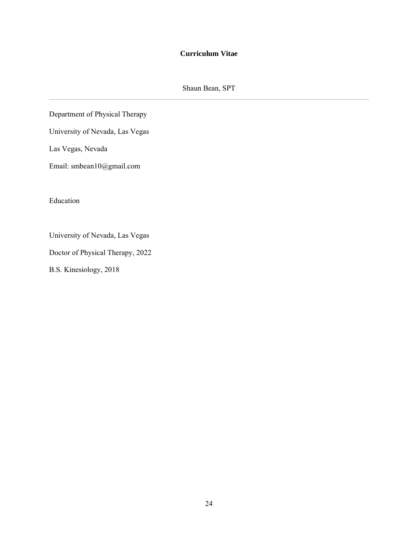# **Curriculum Vitae**

Shaun Bean, SPT

Department of Physical Therapy

University of Nevada, Las Vegas

Las Vegas, Nevada

Email: smbean10@gmail.com

Education

University of Nevada, Las Vegas

Doctor of Physical Therapy, 2022

B.S. Kinesiology, 2018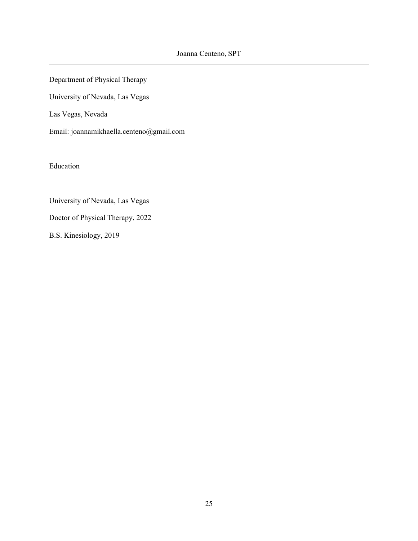Department of Physical Therapy

University of Nevada, Las Vegas

Las Vegas, Nevada

Email: joannamikhaella.centeno@gmail.com

Education

University of Nevada, Las Vegas

Doctor of Physical Therapy, 2022

B.S. Kinesiology, 2019